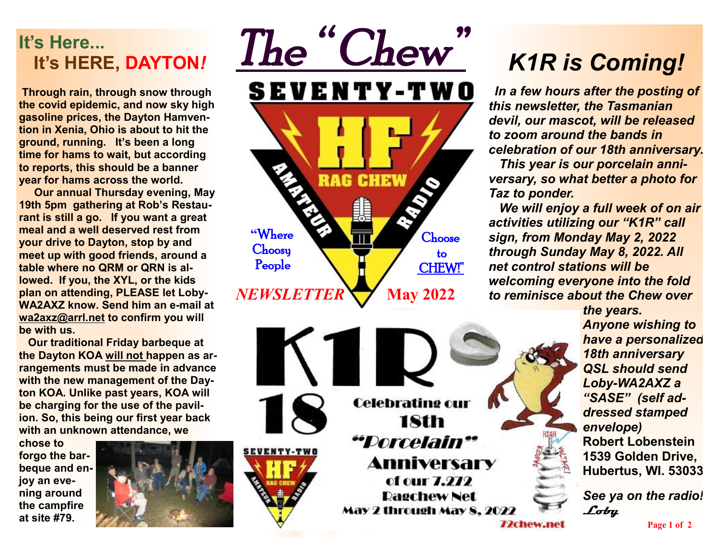# **It's Here... It's HERE, DAYTON***!*

**Through rain, through snow through the covid epidemic, and now sky high gasoline prices, the Dayton Hamvention in Xenia, Ohio is about to hit the ground, running. It's been a long time for hams to wait, but according to reports, this should be a banner year for hams across the world.** 

 **Our annual Thursday evening, May 19th 5pm gathering at Rob's Restaurant is still a go. If you want a great meal and a well deserved rest from your drive to Dayton, stop by and meet up with good friends, around a table where no QRM or QRN is allowed. If you, the XYL, or the kids plan on attending, PLEASE let Loby-WA2AXZ know. Send him an e-mail at [wa2axz@arrl.net](mailto:wa2axz@arrl.net) to confirm you will be with us.** 

 **Our traditional Friday barbeque at the Dayton KOA will not happen as arrangements must be made in advance with the new management of the Dayton KOA. Unlike past years, KOA will be charging for the use of the pavilion. So, this being our first year back with an unknown attendance, we** 

**chose to forgo the barbeque and enjoy an evening around the campfire at site #79.** 







# *K1R is Coming!*

 *In a few hours after the posting of this newsletter, the Tasmanian devil, our mascot, will be released to zoom around the bands in celebration of our 18th anniversary.*

*This year is our porcelain anniversary, so what better a photo for Taz to ponder.* 

*We will enjoy a full week of on air activities utilizing our "K1R" call sign, from Monday May 2, 2022 through Sunday May 8, 2022. All net control stations will be welcoming everyone into the fold to reminisce about the Chew over* 

> *the years. Anyone wishing to have a personalized 18th anniversary QSL should send Loby-WA2AXZ a "SASE" (self addressed stamped envelope)*  **Robert Lobenstein 1539 Golden Drive, Hubertus, WI. 53033**

*See ya on the radio! Loby*

*Tienew.* 

**Page 1 of 2**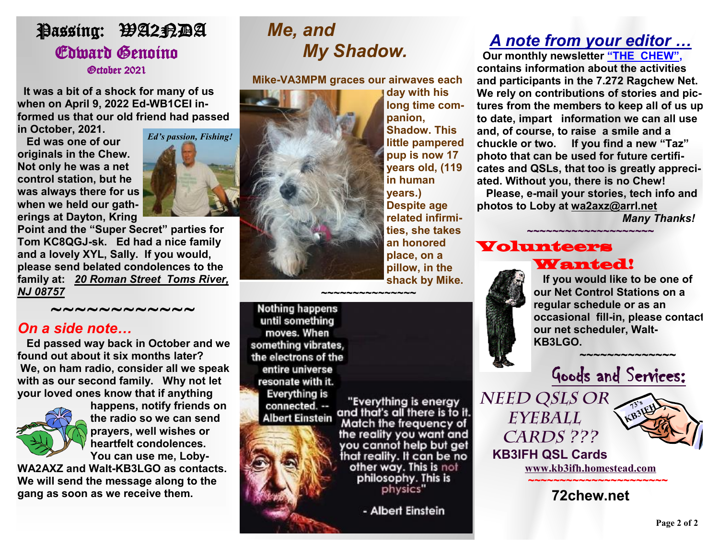### Passing: WA2PAA Edward Genoino October 2021

 **It was a bit of a shock for many of us when on April 9, 2022 Ed-WB1CEI informed us that our old friend had passed in October, 2021.** 

 **Ed was one of our originals in the Chew. Not only he was a net control station, but he was always there for us when we held our gatherings at Dayton, Kring** 



**Point and the "Super Secret" parties for Tom KC8QGJ-sk. Ed had a nice family and a lovely XYL, Sally. If you would, please send belated condolences to the family at:** *20 Roman Street Toms River, NJ 08757*

~~~~~~~~~~~~

#### *On a side note…*

 **Ed passed way back in October and we found out about it six months later? We, on ham radio, consider all we speak with as our second family. Why not let your loved ones know that if anything** 



**happens, notify friends on the radio so we can send prayers, well wishes or heartfelt condolences. You can use me, Loby-**

**WA2AXZ and Walt-KB3LGO as contacts. We will send the message along to the gang as soon as we receive them.** 

# *Me, and My Shadow.*

**Mike-VA3MPM graces our airwaves each** 

**day with his long time companion, Shadow. This little pampered pup is now 17 years old, (119 in human years.) Despite age related infirmities, she takes an honored place, on a pillow, in the shack by Mike. ~~~~~~~~~~~~~~~** 

**Nothing happens** until something moves. When something vibrates, the electrons of the entire universe resonate with it. **Everything is** connected. --**Albert Einstein** 



"Everything is energy and that's all there is to it. Match the frequency of the reality you want and you cannot help but get that reality. It can be no other way. This is not philosophy. This is physics

- Albert Einstein

### *A note from your editor …*

 **Our monthly newsletter "THE CHEW", contains information about the activities and participants in the 7.272 Ragchew Net. We rely on contributions of stories and pictures from the members to keep all of us up to date, impart information we can all use and, of course, to raise a smile and a chuckle or two. If you find a new "Taz" photo that can be used for future certificates and QSLs, that too is greatly appreciated. Without you, there is no Chew! Please, e-mail your stories, tech info and photos to Loby at [wa2axz@arrl.net](mailto:wa2axz@arrl.net)** 

**~~~~~~~~~~~~~~~~~~~~**

*Many Thanks!* 

#### Volunteers Wanted!



 **If you would like to be one of our Net Control Stations on a regular schedule or as an occasional fill-in, please contact our net scheduler, Walt-KB3LGO.**



 **~~~~~~~~~~~~~~** 

*Need QSLs or Eyeball Cards ???* 



 **KB3IFH QSL Cards [www.kb3ifh.homestead.com](http://www.kb3ifh.homestead.com) ~~~~~~~~~~~~~~~~~~~~~~** 

**72chew.net**